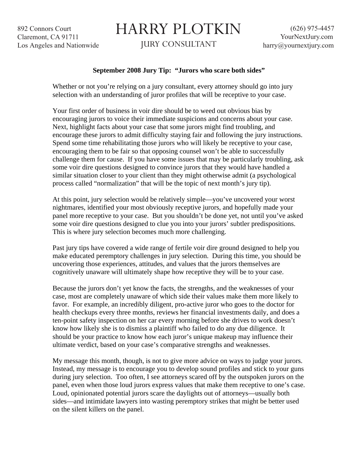892 Connors Court Claremont, CA 91711 Los Angeles and Nationwide

## HARRY PLOTKIN

JURY CONSULTANT

## **September 2008 Jury Tip: "Jurors who scare both sides"**

Whether or not you're relying on a jury consultant, every attorney should go into jury selection with an understanding of juror profiles that will be receptive to your case.

Your first order of business in voir dire should be to weed out obvious bias by encouraging jurors to voice their immediate suspicions and concerns about your case. Next, highlight facts about your case that some jurors might find troubling, and encourage these jurors to admit difficulty staying fair and following the jury instructions. Spend some time rehabilitating those jurors who will likely be receptive to your case, encouraging them to be fair so that opposing counsel won't be able to successfully challenge them for cause. If you have some issues that may be particularly troubling, ask some voir dire questions designed to convince jurors that they would have handled a similar situation closer to your client than they might otherwise admit (a psychological process called "normalization" that will be the topic of next month's jury tip).

At this point, jury selection would be relatively simple—you've uncovered your worst nightmares, identified your most obviously receptive jurors, and hopefully made your panel more receptive to your case. But you shouldn't be done yet, not until you've asked some voir dire questions designed to clue you into your jurors' subtler predispositions. This is where jury selection becomes much more challenging.

Past jury tips have covered a wide range of fertile voir dire ground designed to help you make educated peremptory challenges in jury selection. During this time, you should be uncovering those experiences, attitudes, and values that the jurors themselves are cognitively unaware will ultimately shape how receptive they will be to your case.

Because the jurors don't yet know the facts, the strengths, and the weaknesses of your case, most are completely unaware of which side their values make them more likely to favor. For example, an incredibly diligent, pro-active juror who goes to the doctor for health checkups every three months, reviews her financial investments daily, and does a ten-point safety inspection on her car every morning before she drives to work doesn't know how likely she is to dismiss a plaintiff who failed to do any due diligence. It should be your practice to know how each juror's unique makeup may influence their ultimate verdict, based on your case's comparative strengths and weaknesses.

My message this month, though, is not to give more advice on ways to judge your jurors. Instead, my message is to encourage you to develop sound profiles and stick to your guns during jury selection. Too often, I see attorneys scared off by the outspoken jurors on the panel, even when those loud jurors express values that make them receptive to one's case. Loud, opinionated potential jurors scare the daylights out of attorneys—usually both sides—and intimidate lawyers into wasting peremptory strikes that might be better used on the silent killers on the panel.